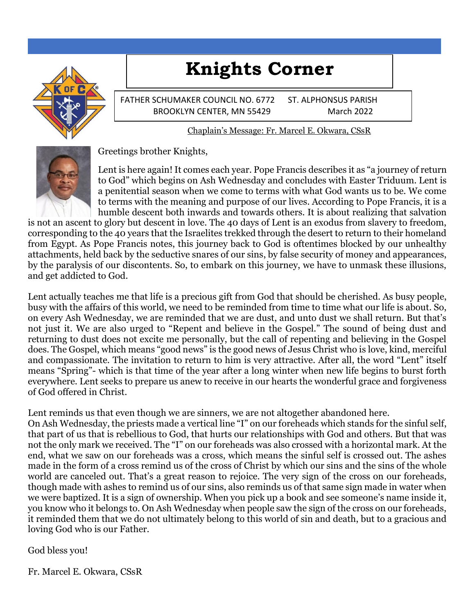# **Knights Corner**



FATHER SCHUMAKER COUNCIL NO. 6772 ST. ALPHONSUS PARISH BROOKLYN CENTER, MN 55429 March 2022

Chaplain's Message: Fr. Marcel E. Okwara, CSsR



Greetings brother Knights,

Lent is here again! It comes each year. Pope Francis describes it as "a journey of return to God" which begins on Ash Wednesday and concludes with Easter Triduum. Lent is a penitential season when we come to terms with what God wants us to be. We come to terms with the meaning and purpose of our lives. According to Pope Francis, it is a humble descent both inwards and towards others. It is about realizing that salvation

is not an ascent to glory but descent in love. The 40 days of Lent is an exodus from slavery to freedom, corresponding to the 40 years that the Israelites trekked through the desert to return to their homeland from Egypt. As Pope Francis notes, this journey back to God is oftentimes blocked by our unhealthy attachments, held back by the seductive snares of our sins, by false security of money and appearances, by the paralysis of our discontents. So, to embark on this journey, we have to unmask these illusions, and get addicted to God.

Lent actually teaches me that life is a precious gift from God that should be cherished. As busy people, busy with the affairs of this world, we need to be reminded from time to time what our life is about. So, on every Ash Wednesday, we are reminded that we are dust, and unto dust we shall return. But that's not just it. We are also urged to "Repent and believe in the Gospel." The sound of being dust and returning to dust does not excite me personally, but the call of repenting and believing in the Gospel does. The Gospel, which means "good news" is the good news of Jesus Christ who is love, kind, merciful and compassionate. The invitation to return to him is very attractive. After all, the word "Lent" itself means "Spring"- which is that time of the year after a long winter when new life begins to burst forth everywhere. Lent seeks to prepare us anew to receive in our hearts the wonderful grace and forgiveness of God offered in Christ.

Lent reminds us that even though we are sinners, we are not altogether abandoned here.

On Ash Wednesday, the priests made a vertical line "I" on our foreheads which stands for the sinful self, that part of us that is rebellious to God, that hurts our relationships with God and others. But that was not the only mark we received. The "I" on our foreheads was also crossed with a horizontal mark. At the end, what we saw on our foreheads was a cross, which means the sinful self is crossed out. The ashes made in the form of a cross remind us of the cross of Christ by which our sins and the sins of the whole world are canceled out. That's a great reason to rejoice. The very sign of the cross on our foreheads, though made with ashes to remind us of our sins, also reminds us of that same sign made in water when we were baptized. It is a sign of ownership. When you pick up a book and see someone's name inside it, you know who it belongs to. On Ash Wednesday when people saw the sign of the cross on our foreheads, it reminded them that we do not ultimately belong to this world of sin and death, but to a gracious and loving God who is our Father.

God bless you!

Fr. Marcel E. Okwara, CSsR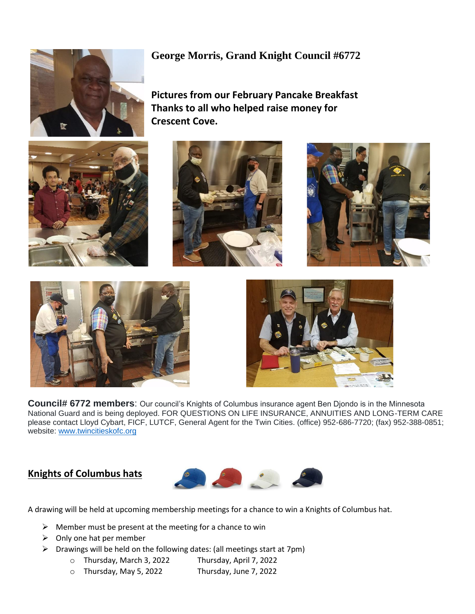## **George Morris, Grand Knight Council #6772**

**Pictures from our February Pancake Breakfast Thanks to all who helped raise money for Crescent Cove.**







**Council# 6772 members**: Our council's Knights of Columbus insurance agent Ben Djondo is in the Minnesota National Guard and is being deployed. FOR QUESTIONS ON LIFE INSURANCE, ANNUITIES AND LONG-TERM CARE please contact Lloyd Cybart, FICF, LUTCF, General Agent for the Twin Cities. (office) 952-686-7720; (fax) 952-388-0851; website: [www.twincitieskofc.org](http://www.twincitieskofc.org/)

**Knights of Columbus hats**



A drawing will be held at upcoming membership meetings for a chance to win a Knights of Columbus hat.

- $\triangleright$  Member must be present at the meeting for a chance to win
- $\triangleright$  Only one hat per member
- ➢ Drawings will be held on the following dates: (all meetings start at 7pm)
	- o Thursday, March 3, 2022 Thursday, April 7, 2022
	- o Thursday, May 5, 2022 Thursday, June 7, 2022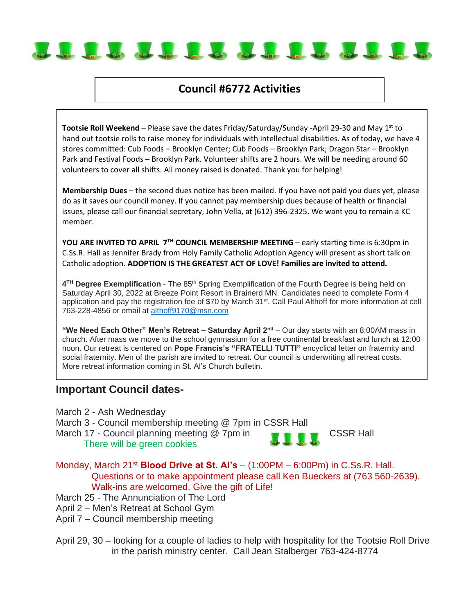

## **Council #6772 Activities**

**Tootsie Roll Weekend** – Please save the dates Friday/Saturday/Sunday -April 29-30 and May 1<sup>st</sup> to hand out tootsie rolls to raise money for individuals with intellectual disabilities. As of today, we have 4 stores committed: Cub Foods – Brooklyn Center; Cub Foods – Brooklyn Park; Dragon Star – Brooklyn Park and Festival Foods – Brooklyn Park. Volunteer shifts are 2 hours. We will be needing around 60 volunteers to cover all shifts. All money raised is donated. Thank you for helping!

**Membership Dues** – the second dues notice has been mailed. If you have not paid you dues yet, please do as it saves our council money. If you cannot pay membership dues because of health or financial issues, please call our financial secretary, John Vella, at (612) 396-2325. We want you to remain a KC member.

**YOU ARE INVITED TO APRIL 7TH COUNCIL MEMBERSHIP MEETING** – early starting time is 6:30pm in C.Ss.R. Hall as Jennifer Brady from Holy Family Catholic Adoption Agency will present as short talk on Catholic adoption. **ADOPTION IS THE GREATEST ACT OF LOVE! Families are invited to attend.**

4<sup>TH</sup> Degree Exemplification - The 85<sup>th</sup> Spring Exemplification of the Fourth Degree is being held on Saturday April 30, 2022 at Breeze Point Resort in Brainerd MN. Candidates need to complete Form 4 application and pay the registration fee of \$70 by March 31<sup>st</sup>. Call Paul Althoff for more information at cell 763-228-4856 or email at [althoff9170@msn.com](mailto:althoff9170@msn.com)

**"We Need Each Other" Men's Retreat – Saturday April 2nd** – Our day starts with an 8:00AM mass in church. After mass we move to the school gymnasium for a free continental breakfast and lunch at 12:00 noon. Our retreat is centered on **Pope Francis's "FRATELLI TUTTI"** encyclical letter on fraternity and social fraternity. Men of the parish are invited to retreat. Our council is underwriting all retreat costs. More retreat information coming in St. Al's Church bulletin.

### **Important Council dates-**

- March 2 Ash Wednesday
- March 3 Council membership meeting @ 7pm in CSSR Hall
- March 17 Council planning meeting @ 7pm in **COVID-10** CSSR Hall There will be green cookies

- Monday, March 21st **Blood Drive at St. Al's** (1:00PM 6:00Pm) in C.Ss.R. Hall. Questions or to make appointment please call Ken Bueckers at (763 560-2639). Walk-ins are welcomed. Give the gift of Life!
- March 25 The Annunciation of The Lord
- April 2 Men's Retreat at School Gym
- April 7 Council membership meeting
- April 29, 30 looking for a couple of ladies to help with hospitality for the Tootsie Roll Drive in the parish ministry center. Call Jean Stalberger 763-424-8774